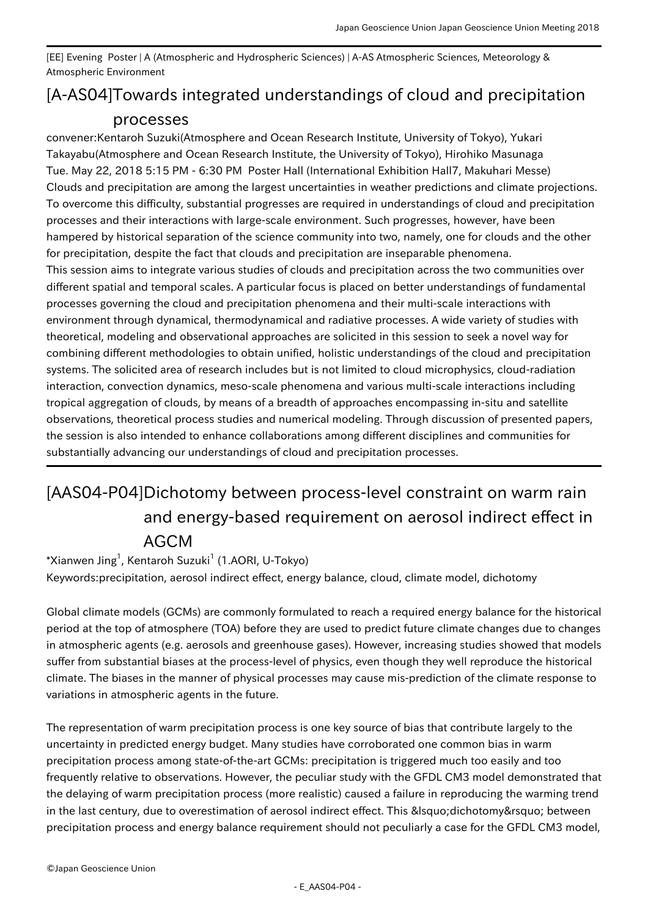[EE] Evening Poster | A (Atmospheric and Hydrospheric Sciences) | A-AS Atmospheric Sciences, Meteorology & Atmospheric Environment

## [A-AS04] Towards integrated understandings of cloud and precipitation processes

convener:Kentaroh Suzuki(Atmosphere and Ocean Research Institute, University of Tokyo), Yukari Takayabu(Atmosphere and Ocean Research Institute, the University of Tokyo), Hirohiko Masunaga Tue. May 22, 2018 5:15 PM - 6:30 PM Poster Hall (International Exhibition Hall7, Makuhari Messe) Clouds and precipitation are among the largest uncertainties in weather predictions and climate projections. To overcome this difficulty, substantial progresses are required in understandings of cloud and precipitation processes and their interactions with large-scale environment. Such progresses, however, have been hampered by historical separation of the science community into two, namely, one for clouds and the other for precipitation, despite the fact that clouds and precipitation are inseparable phenomena. This session aims to integrate various studies of clouds and precipitation across the two communities over different spatial and temporal scales. A particular focus is placed on better understandings of fundamental processes governing the cloud and precipitation phenomena and their multi-scale interactions with environment through dynamical, thermodynamical and radiative processes. A wide variety of studies with theoretical, modeling and observational approaches are solicited in this session to seek a novel way for combining different methodologies to obtain unified, holistic understandings of the cloud and precipitation systems. The solicited area of research includes but is not limited to cloud microphysics, cloud-radiation interaction, convection dynamics, meso-scale phenomena and various multi-scale interactions including tropical aggregation of clouds, by means of a breadth of approaches encompassing in-situ and satellite observations, theoretical process studies and numerical modeling. Through discussion of presented papers, the session is also intended to enhance collaborations among different disciplines and communities for substantially advancing our understandings of cloud and precipitation processes.

## [AAS04-P04] Dichotomy between process-level constraint on warm rain and energy-based requirement on aerosol indirect effect in AGCM

 $^*$ Xianwen Jing $^1$ , Kentaroh Suzuki $^1$  (1.AORI, U-Tokyo) Keywords:precipitation, aerosol indirect effect, energy balance, cloud, climate model, dichotomy

Global climate models (GCMs) are commonly formulated to reach a required energy balance for the historical period at the top of atmosphere (TOA) before they are used to predict future climate changes due to changes in atmospheric agents (e.g. aerosols and greenhouse gases). However, increasing studies showed that models suffer from substantial biases at the process-level of physics, even though they well reproduce the historical climate. The biases in the manner of physical processes may cause mis-prediction of the climate response to variations in atmospheric agents in the future.

The representation of warm precipitation process is one key source of bias that contribute largely to the uncertainty in predicted energy budget. Many studies have corroborated one common bias in warm precipitation process among state-of-the-art GCMs: precipitation is triggered much too easily and too frequently relative to observations. However, the peculiar study with the GFDL CM3 model demonstrated that the delaying of warm precipitation process (more realistic) caused a failure in reproducing the warming trend in the last century, due to overestimation of aerosol indirect effect. This 'dichotomy' between precipitation process and energy balance requirement should not peculiarly a case for the GFDL CM3 model,